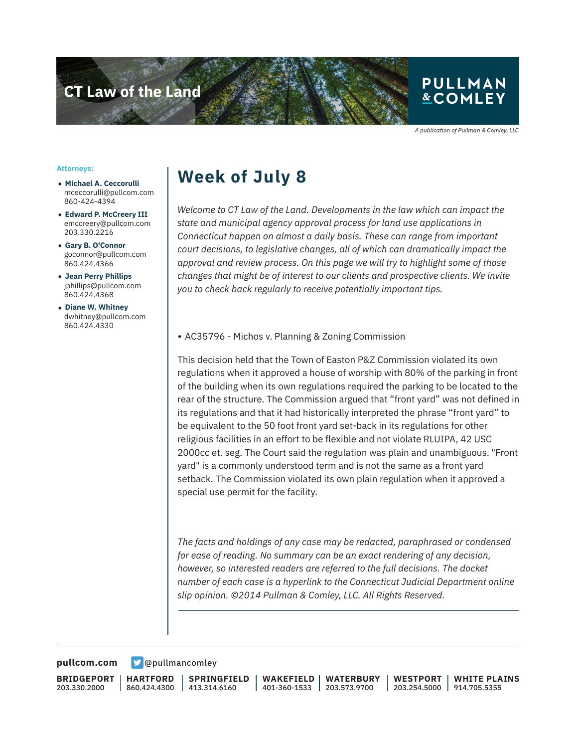

**Attorneys:**

- **Michael A. Ceccorulli** mceccorulli@pullcom.com 860-424-4394
- **Edward P. McCreery III** emccreery@pullcom.com 203.330.2216
- **Gary B. O'Connor** goconnor@pullcom.com 860.424.4366
- **Jean Perry Phillips** jphillips@pullcom.com 860.424.4368
- **Diane W. Whitney** dwhitney@pullcom.com 860.424.4330

## **Week of July 8**

*Welcome to CT Law of the Land. Developments in the law which can impact the state and municipal agency approval process for land use applications in Connecticut happen on almost a daily basis. These can range from important court decisions, to legislative changes, all of which can dramatically impact the approval and review process. On this page we will try to highlight some of those changes that might be of interest to our clients and prospective clients. We invite you to check back regularly to receive potentially important tips.*

• AC35796 - Michos v. Planning & Zoning Commission

This decision held that the Town of Easton P&Z Commission violated its own regulations when it approved a house of worship with 80% of the parking in front of the building when its own regulations required the parking to be located to the rear of the structure. The Commission argued that "front yard" was not defined in its regulations and that it had historically interpreted the phrase "front yard" to be equivalent to the 50 foot front yard set-back in its regulations for other religious facilities in an effort to be flexible and not violate RLUIPA, 42 USC 2000cc et. seg. The Court said the regulation was plain and unambiguous. "Front yard" is a commonly understood term and is not the same as a front yard setback. The Commission violated its own plain regulation when it approved a special use permit for the facility.

*The facts and holdings of any case may be redacted, paraphrased or condensed for ease of reading. No summary can be an exact rendering of any decision, however, so interested readers are referred to the full decisions. The docket number of each case is a hyperlink to the Connecticut Judicial Department online slip opinion. ©2014 Pullman & Comley, LLC. All Rights Reserved.*

**[pullcom.com](https://www.pullcom.com) g** [@pullmancomley](https://twitter.com/PullmanComley)

**BRIDGEPORT** 203.330.2000

**HARTFORD** 860.424.4300

l

**SPRINGFIELD** 413.314.6160

**WAKEFIELD** 401-360-1533 **WATERBURY** 203.573.9700

**WESTPORT** 203.254.5000 914.705.5355 **WHITE PLAINS**